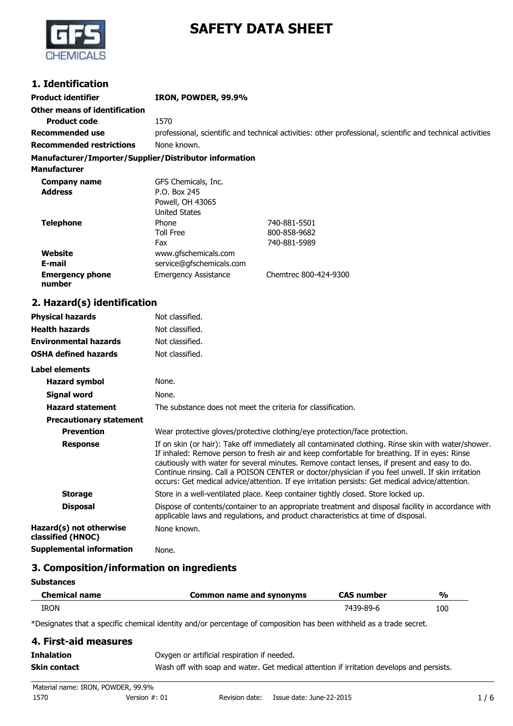

# **SAFETY DATA SHEET**

## **1. Identification**

**Product identifier IRON, POWDER, 99.9% Other means of identification Product code** 1570 **Recommended use** professional, scientific and technical activities: other professional, scientific and technical activities **Recommended restrictions** None known.

#### **Manufacturer/Importer/Supplier/Distributor information**

| <b>Manufacturer</b>              |                             |                       |
|----------------------------------|-----------------------------|-----------------------|
| <b>Company name</b>              | GFS Chemicals, Inc.         |                       |
| <b>Address</b>                   | P.O. Box 245                |                       |
|                                  | Powell, OH 43065            |                       |
|                                  | <b>United States</b>        |                       |
| <b>Telephone</b>                 | Phone                       | 740-881-5501          |
|                                  | <b>Toll Free</b>            | 800-858-9682          |
|                                  | Fax                         | 740-881-5989          |
| Website                          | www.gfschemicals.com        |                       |
| E-mail                           | service@qfschemicals.com    |                       |
| <b>Emergency phone</b><br>number | <b>Emergency Assistance</b> | Chemtrec 800-424-9300 |

## **2. Hazard(s) identification**

| <b>Physical hazards</b>                      | Not classified.                                                                                                                                                                                                                                                                                                                                                                                                                                                                                             |
|----------------------------------------------|-------------------------------------------------------------------------------------------------------------------------------------------------------------------------------------------------------------------------------------------------------------------------------------------------------------------------------------------------------------------------------------------------------------------------------------------------------------------------------------------------------------|
| <b>Health hazards</b>                        | Not classified.                                                                                                                                                                                                                                                                                                                                                                                                                                                                                             |
| <b>Environmental hazards</b>                 | Not classified.                                                                                                                                                                                                                                                                                                                                                                                                                                                                                             |
| <b>OSHA defined hazards</b>                  | Not classified.                                                                                                                                                                                                                                                                                                                                                                                                                                                                                             |
| Label elements                               |                                                                                                                                                                                                                                                                                                                                                                                                                                                                                                             |
| <b>Hazard symbol</b>                         | None.                                                                                                                                                                                                                                                                                                                                                                                                                                                                                                       |
| Signal word                                  | None.                                                                                                                                                                                                                                                                                                                                                                                                                                                                                                       |
| <b>Hazard statement</b>                      | The substance does not meet the criteria for classification.                                                                                                                                                                                                                                                                                                                                                                                                                                                |
| <b>Precautionary statement</b>               |                                                                                                                                                                                                                                                                                                                                                                                                                                                                                                             |
| <b>Prevention</b>                            | Wear protective gloves/protective clothing/eye protection/face protection.                                                                                                                                                                                                                                                                                                                                                                                                                                  |
| <b>Response</b>                              | If on skin (or hair): Take off immediately all contaminated clothing. Rinse skin with water/shower.<br>If inhaled: Remove person to fresh air and keep comfortable for breathing. If in eyes: Rinse<br>cautiously with water for several minutes. Remove contact lenses, if present and easy to do.<br>Continue rinsing. Call a POISON CENTER or doctor/physician if you feel unwell. If skin irritation<br>occurs: Get medical advice/attention. If eye irritation persists: Get medical advice/attention. |
| <b>Storage</b>                               | Store in a well-ventilated place. Keep container tightly closed. Store locked up.                                                                                                                                                                                                                                                                                                                                                                                                                           |
| <b>Disposal</b>                              | Dispose of contents/container to an appropriate treatment and disposal facility in accordance with<br>applicable laws and regulations, and product characteristics at time of disposal.                                                                                                                                                                                                                                                                                                                     |
| Hazard(s) not otherwise<br>classified (HNOC) | None known.                                                                                                                                                                                                                                                                                                                                                                                                                                                                                                 |
| <b>Supplemental information</b>              | None.                                                                                                                                                                                                                                                                                                                                                                                                                                                                                                       |

## **3. Composition/information on ingredients**

| <b>Substances</b>    |                          |                   |               |
|----------------------|--------------------------|-------------------|---------------|
| <b>Chemical name</b> | Common name and synonyms | <b>CAS number</b> | $\frac{1}{2}$ |
| <b>IRON</b>          |                          | 7439-89-6         | 100           |

\*Designates that a specific chemical identity and/or percentage of composition has been withheld as a trade secret.

## **4. First-aid measures Inhalation Conserversity** Oxygen or artificial respiration if needed. **Skin contact** Wash off with soap and water. Get medical attention if irritation develops and persists.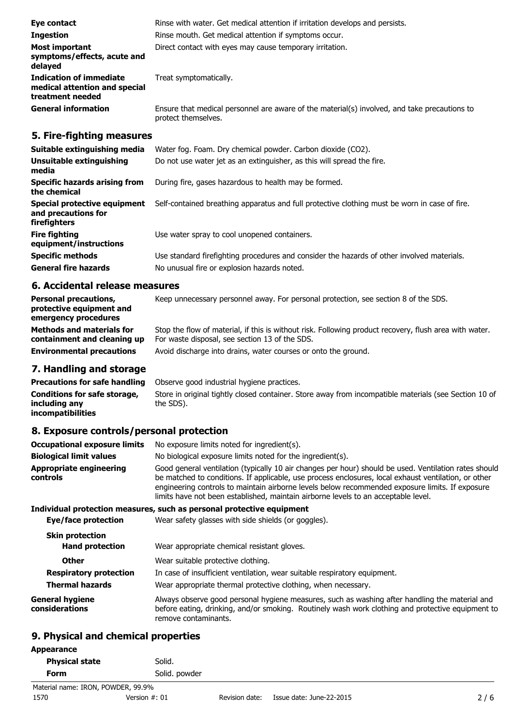| Eye contact                                                                         | Rinse with water. Get medical attention if irritation develops and persists.                                        |
|-------------------------------------------------------------------------------------|---------------------------------------------------------------------------------------------------------------------|
| <b>Ingestion</b>                                                                    | Rinse mouth. Get medical attention if symptoms occur.                                                               |
| <b>Most important</b><br>symptoms/effects, acute and<br>delayed                     | Direct contact with eyes may cause temporary irritation.                                                            |
| <b>Indication of immediate</b><br>medical attention and special<br>treatment needed | Treat symptomatically.                                                                                              |
| <b>General information</b>                                                          | Ensure that medical personnel are aware of the material(s) involved, and take precautions to<br>protect themselves. |

## **5. Fire-fighting measures**

| Suitable extinguishing media                                               | Water fog. Foam. Dry chemical powder. Carbon dioxide (CO2).                                   |
|----------------------------------------------------------------------------|-----------------------------------------------------------------------------------------------|
| Unsuitable extinguishing<br>media                                          | Do not use water jet as an extinguisher, as this will spread the fire.                        |
| <b>Specific hazards arising from</b><br>the chemical                       | During fire, gases hazardous to health may be formed.                                         |
| Special protective equipment<br>and precautions for<br><b>firefighters</b> | Self-contained breathing apparatus and full protective clothing must be worn in case of fire. |
| <b>Fire fighting</b><br>equipment/instructions                             | Use water spray to cool unopened containers.                                                  |
| <b>Specific methods</b>                                                    | Use standard firefighting procedures and consider the hazards of other involved materials.    |
| <b>General fire hazards</b>                                                | No unusual fire or explosion hazards noted.                                                   |

## **6. Accidental release measures**

| <b>Personal precautions,</b><br>protective equipment and<br>emergency procedures | Keep unnecessary personnel away. For personal protection, see section 8 of the SDS.                                                                      |
|----------------------------------------------------------------------------------|----------------------------------------------------------------------------------------------------------------------------------------------------------|
| <b>Methods and materials for</b><br>containment and cleaning up                  | Stop the flow of material, if this is without risk. Following product recovery, flush area with water.<br>For waste disposal, see section 13 of the SDS. |
| <b>Environmental precautions</b>                                                 | Avoid discharge into drains, water courses or onto the ground.                                                                                           |

## **7. Handling and storage**

**Precautions for safe handling** Observe good industrial hygiene practices. **Conditions for safe storage, including any incompatibilities** Store in original tightly closed container. Store away from incompatible materials (see Section 10 of the SDS).

## **8. Exposure controls/personal protection**

| <b>Occupational exposure limits</b> | No exposure limits noted for ingredient(s).                                                                                                                                                                                                                                                                                                                                                            |
|-------------------------------------|--------------------------------------------------------------------------------------------------------------------------------------------------------------------------------------------------------------------------------------------------------------------------------------------------------------------------------------------------------------------------------------------------------|
| <b>Biological limit values</b>      | No biological exposure limits noted for the ingredient(s).                                                                                                                                                                                                                                                                                                                                             |
| Appropriate engineering<br>controls | Good general ventilation (typically 10 air changes per hour) should be used. Ventilation rates should<br>be matched to conditions. If applicable, use process enclosures, local exhaust ventilation, or other<br>engineering controls to maintain airborne levels below recommended exposure limits. If exposure<br>limits have not been established, maintain airborne levels to an acceptable level. |

## **Individual protection measures, such as personal protective equipment**

| Eye/face protection               | Wear safety glasses with side shields (or goggles).                                                                                                                                                                         |
|-----------------------------------|-----------------------------------------------------------------------------------------------------------------------------------------------------------------------------------------------------------------------------|
| <b>Skin protection</b>            |                                                                                                                                                                                                                             |
| <b>Hand protection</b>            | Wear appropriate chemical resistant gloves.                                                                                                                                                                                 |
| <b>Other</b>                      | Wear suitable protective clothing.                                                                                                                                                                                          |
| <b>Respiratory protection</b>     | In case of insufficient ventilation, wear suitable respiratory equipment.                                                                                                                                                   |
| <b>Thermal hazards</b>            | Wear appropriate thermal protective clothing, when necessary.                                                                                                                                                               |
| General hygiene<br>considerations | Always observe good personal hygiene measures, such as washing after handling the material and<br>before eating, drinking, and/or smoking. Routinely wash work clothing and protective equipment to<br>remove contaminants. |

## **9. Physical and chemical properties**

| Appearance            |               |
|-----------------------|---------------|
| <b>Physical state</b> | Solid.        |
| Form                  | Solid. powder |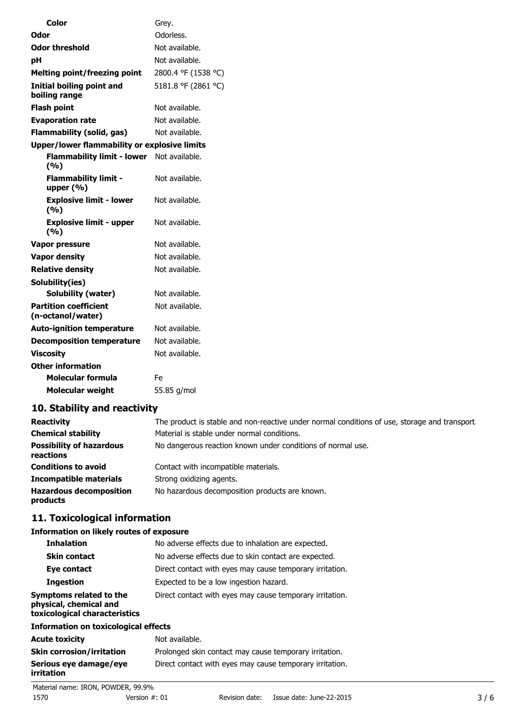| Color                                             | Grey.               |
|---------------------------------------------------|---------------------|
| Odor                                              | Odorless.           |
| Odor threshold                                    | Not available.      |
| рH                                                | Not available.      |
| <b>Melting point/freezing point</b>               | 2800.4 °F (1538 °C) |
| <b>Initial boiling point and</b><br>boiling range | 5181.8 °F (2861 °C) |
| <b>Flash point</b>                                | Not available.      |
| <b>Evaporation rate</b>                           | Not available.      |
| Flammability (solid, gas)                         | Not available.      |
| Upper/lower flammability or explosive limits      |                     |
| Flammability limit - lower Not available.<br>(%)  |                     |
| <b>Flammability limit -</b><br>upper $(% )$       | Not available.      |
| <b>Explosive limit - lower</b><br>(9/0)           | Not available.      |
| <b>Explosive limit - upper</b><br>(9/6)           | Not available.      |
| Vapor pressure                                    | Not available.      |
| <b>Vapor density</b>                              | Not available.      |
| <b>Relative density</b>                           | Not available.      |
| Solubility(ies)                                   |                     |
| <b>Solubility (water)</b>                         | Not available.      |
| <b>Partition coefficient</b><br>(n-octanol/water) | Not available.      |
| <b>Auto-ignition temperature</b>                  | Not available.      |
| <b>Decomposition temperature</b>                  | Not available.      |
| <b>Viscosity</b>                                  | Not available.      |
| <b>Other information</b>                          |                     |
| Molecular formula                                 | Fe                  |
| <b>Molecular weight</b>                           | 55.85 g/mol         |

## **10. Stability and reactivity**

| <b>Reactivity</b>                            | The product is stable and non-reactive under normal conditions of use, storage and transport. |
|----------------------------------------------|-----------------------------------------------------------------------------------------------|
| <b>Chemical stability</b>                    | Material is stable under normal conditions.                                                   |
| <b>Possibility of hazardous</b><br>reactions | No dangerous reaction known under conditions of normal use.                                   |
| <b>Conditions to avoid</b>                   | Contact with incompatible materials.                                                          |
| <b>Incompatible materials</b>                | Strong oxidizing agents.                                                                      |
| <b>Hazardous decomposition</b><br>products   | No hazardous decomposition products are known.                                                |

## **11. Toxicological information**

## **Information on likely routes of exposure**

| <b>Inhalation</b>                                                                  | No adverse effects due to inhalation are expected.       |  |
|------------------------------------------------------------------------------------|----------------------------------------------------------|--|
| <b>Skin contact</b>                                                                | No adverse effects due to skin contact are expected.     |  |
| Eye contact                                                                        | Direct contact with eyes may cause temporary irritation. |  |
| <b>Ingestion</b>                                                                   | Expected to be a low ingestion hazard.                   |  |
| Symptoms related to the<br>physical, chemical and<br>toxicological characteristics | Direct contact with eyes may cause temporary irritation. |  |
| Information on toxicological effects                                               |                                                          |  |
| Acute toxicity                                                                     | Not available.                                           |  |
| Skin corrosion/irritation                                                          | Prolonged skin contact may cause temporary irritation.   |  |
| Serious eye damage/eye                                                             | Direct contact with eyes may cause temporary irritation. |  |

**irritation**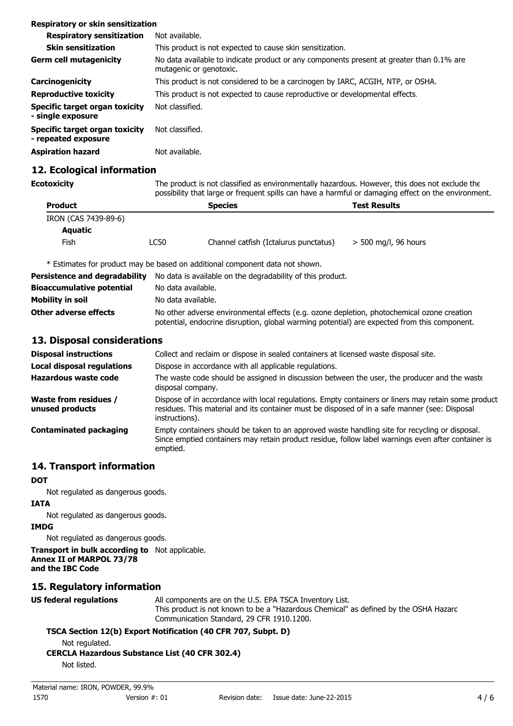| Respiratory or skin sensitization                     |                                                                                                                     |
|-------------------------------------------------------|---------------------------------------------------------------------------------------------------------------------|
| <b>Respiratory sensitization</b>                      | Not available.                                                                                                      |
| <b>Skin sensitization</b>                             | This product is not expected to cause skin sensitization.                                                           |
| <b>Germ cell mutagenicity</b>                         | No data available to indicate product or any components present at greater than 0.1% are<br>mutagenic or genotoxic. |
| Carcinogenicity                                       | This product is not considered to be a carcinogen by IARC, ACGIH, NTP, or OSHA.                                     |
| <b>Reproductive toxicity</b>                          | This product is not expected to cause reproductive or developmental effects.                                        |
| Specific target organ toxicity<br>- single exposure   | Not classified.                                                                                                     |
| Specific target organ toxicity<br>- repeated exposure | Not classified.                                                                                                     |
| <b>Aspiration hazard</b>                              | Not available.                                                                                                      |

## **12. Ecological information**

**Ecotoxicity** The product is not classified as environmentally hazardous. However, this does not exclude the possibility that large or frequent spills can have a harmful or damaging effect on the environment.

| <b>Product</b>       |      | <b>Species</b>                        | <b>Test Results</b>    |
|----------------------|------|---------------------------------------|------------------------|
| IRON (CAS 7439-89-6) |      |                                       |                        |
| <b>Aquatic</b>       |      |                                       |                        |
| Fish                 | LC50 | Channel catfish (Ictalurus punctatus) | $>$ 500 mg/l, 96 hours |

\* Estimates for product may be based on additional component data not shown.

| Persistence and degradability    | No data is available on the degradability of this product.                                                                                                                                 |  |
|----------------------------------|--------------------------------------------------------------------------------------------------------------------------------------------------------------------------------------------|--|
| <b>Bioaccumulative potential</b> | No data available.                                                                                                                                                                         |  |
| Mobility in soil                 | No data available.                                                                                                                                                                         |  |
| <b>Other adverse effects</b>     | No other adverse environmental effects (e.g. ozone depletion, photochemical ozone creation<br>potential, endocrine disruption, global warming potential) are expected from this component. |  |

## **13. Disposal considerations**

| <b>Disposal instructions</b>                    | Collect and reclaim or dispose in sealed containers at licensed waste disposal site.                                                                                                                                   |
|-------------------------------------------------|------------------------------------------------------------------------------------------------------------------------------------------------------------------------------------------------------------------------|
| Local disposal regulations                      | Dispose in accordance with all applicable regulations.                                                                                                                                                                 |
| Hazardous waste code                            | The waste code should be assigned in discussion between the user, the producer and the waste<br>disposal company.                                                                                                      |
| <b>Waste from residues /</b><br>unused products | Dispose of in accordance with local regulations. Empty containers or liners may retain some product<br>residues. This material and its container must be disposed of in a safe manner (see: Disposal<br>instructions). |
| <b>Contaminated packaging</b>                   | Empty containers should be taken to an approved waste handling site for recycling or disposal.<br>Since emptied containers may retain product residue, follow label warnings even after container is<br>emptied.       |

## **14. Transport information**

#### **DOT**

Not regulated as dangerous goods.

### **IATA**

Not regulated as dangerous goods.

#### **IMDG**

Not regulated as dangerous goods.

#### **Transport in bulk according to** Not applicable. **Annex II of MARPOL 73/78 and the IBC Code**

## **15. Regulatory information**

**US federal regulations** All components are on the U.S. EPA TSCA Inventory List. This product is not known to be a "Hazardous Chemical" as defined by the OSHA Hazard Communication Standard, 29 CFR 1910.1200.

## **TSCA Section 12(b) Export Notification (40 CFR 707, Subpt. D)**

Not regulated.

**CERCLA Hazardous Substance List (40 CFR 302.4)**

Not listed.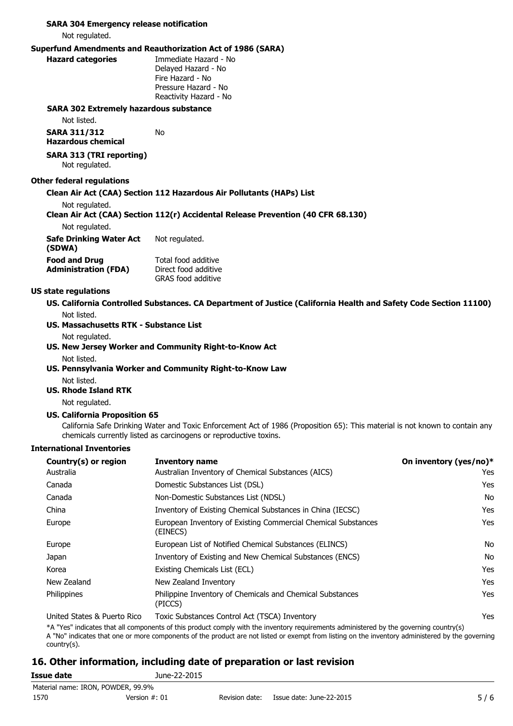#### **SARA 304 Emergency release notification**

Not regulated.

#### **Superfund Amendments and Reauthorization Act of 1986 (SARA)**

No

**Hazard categories** Immediate Hazard - No Delayed Hazard - No Fire Hazard - No Pressure Hazard - No Reactivity Hazard - No

#### **SARA 302 Extremely hazardous substance**

Not listed.

**SARA 311/312 Hazardous chemical**

#### **SARA 313 (TRI reporting)** Not regulated.

#### **Other federal regulations**

#### **Clean Air Act (CAA) Section 112 Hazardous Air Pollutants (HAPs) List**

Not regulated.

#### **Clean Air Act (CAA) Section 112(r) Accidental Release Prevention (40 CFR 68.130)**

Not regulated.

| Safe Drinking Water Act     | Not regulated.       |
|-----------------------------|----------------------|
| (SDWA)                      |                      |
| <b>Food and Drug</b>        | Total food additive  |
| <b>Administration (FDA)</b> | Direct food additive |

Direct food additive GRAS food additive

#### **US state regulations**

**US. California Controlled Substances. CA Department of Justice (California Health and Safety Code Section 11100)**

Not listed.

#### **US. Massachusetts RTK - Substance List**

Not regulated.

**US. New Jersey Worker and Community Right-to-Know Act** Not listed.

### **US. Pennsylvania Worker and Community Right-to-Know Law** Not listed.

#### **US. Rhode Island RTK**

Not regulated.

#### **US. California Proposition 65**

California Safe Drinking Water and Toxic Enforcement Act of 1986 (Proposition 65): This material is not known to contain any chemicals currently listed as carcinogens or reproductive toxins.

#### **International Inventories**

| Country(s) or region                    | <b>Inventory name</b>                                                     | On inventory (yes/no)* |
|-----------------------------------------|---------------------------------------------------------------------------|------------------------|
| Australia                               | Australian Inventory of Chemical Substances (AICS)                        | Yes                    |
| Canada                                  | Domestic Substances List (DSL)                                            | Yes                    |
| Canada                                  | Non-Domestic Substances List (NDSL)                                       | No                     |
| China                                   | Inventory of Existing Chemical Substances in China (IECSC)                | Yes                    |
| Europe                                  | European Inventory of Existing Commercial Chemical Substances<br>(EINECS) | Yes                    |
| Europe                                  | European List of Notified Chemical Substances (ELINCS)                    | No                     |
| Japan                                   | Inventory of Existing and New Chemical Substances (ENCS)                  | No                     |
| Korea                                   | Existing Chemicals List (ECL)                                             | Yes                    |
| New Zealand                             | New Zealand Inventory                                                     | Yes                    |
| Philippines                             | Philippine Inventory of Chemicals and Chemical Substances<br>(PICCS)      | Yes                    |
| The the difference of December Director |                                                                           | $\sqrt{2}$             |

United States & Puerto Rico Toxic Substances Control Act (TSCA) Inventory Yes

\*A "Yes" indicates that all components of this product comply with the inventory requirements administered by the governing country(s)

A "No" indicates that one or more components of the product are not listed or exempt from listing on the inventory administered by the governing country(s).

## **16. Other information, including date of preparation or last revision**

| Issue date | June-22-2015                       |                |                          |     |
|------------|------------------------------------|----------------|--------------------------|-----|
|            | Material name: IRON, POWDER, 99.9% |                |                          |     |
| 1570       | Version $#: 01$                    | Revision date: | Issue date: June-22-2015 | 5/6 |